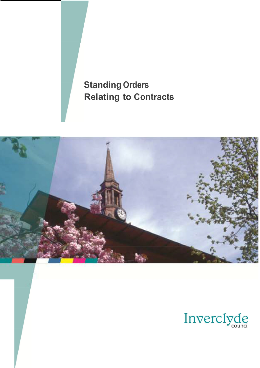

# **Standing Orders Relating to Contracts**



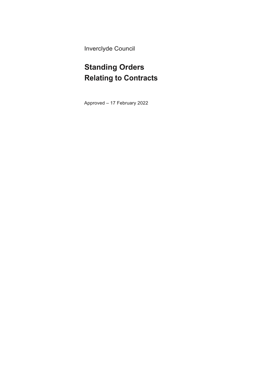Inverclyde Council

## **Standing Orders Relating to Contracts**

Approved – 17 February 2022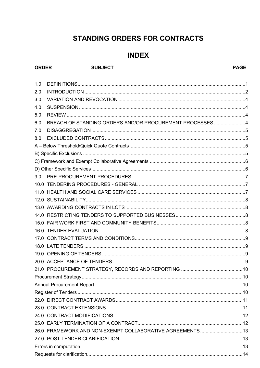### **STANDING ORDERS FOR CONTRACTS**

### **INDEX**

#### **ORDER**

#### **SUBJECT**

#### **PAGE**

| 1.0 |                                                           |  |
|-----|-----------------------------------------------------------|--|
| 2.0 |                                                           |  |
| 3.0 |                                                           |  |
| 4.0 |                                                           |  |
| 5.0 |                                                           |  |
| 6.0 | BREACH OF STANDING ORDERS AND/OR PROCUREMENT PROCESSES4   |  |
| 7.0 |                                                           |  |
| 8.0 |                                                           |  |
|     |                                                           |  |
|     |                                                           |  |
|     |                                                           |  |
|     |                                                           |  |
| 9.0 |                                                           |  |
|     |                                                           |  |
|     |                                                           |  |
|     |                                                           |  |
|     |                                                           |  |
|     |                                                           |  |
|     |                                                           |  |
|     |                                                           |  |
|     |                                                           |  |
|     |                                                           |  |
|     |                                                           |  |
|     |                                                           |  |
|     |                                                           |  |
|     |                                                           |  |
|     |                                                           |  |
|     |                                                           |  |
|     |                                                           |  |
|     |                                                           |  |
|     |                                                           |  |
|     |                                                           |  |
|     | 26.0 FRAMEWORK AND NON-EXEMPT COLLABORATIVE AGREEMENTS 13 |  |
|     |                                                           |  |
|     |                                                           |  |
|     |                                                           |  |
|     |                                                           |  |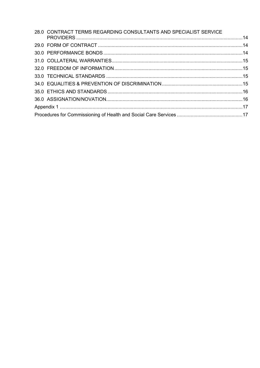| 28.0 CONTRACT TERMS REGARDING CONSULTANTS AND SPECIALIST SERVICE |  |  |
|------------------------------------------------------------------|--|--|
|                                                                  |  |  |
|                                                                  |  |  |
|                                                                  |  |  |
|                                                                  |  |  |
|                                                                  |  |  |
|                                                                  |  |  |
|                                                                  |  |  |
|                                                                  |  |  |
|                                                                  |  |  |
|                                                                  |  |  |
|                                                                  |  |  |
|                                                                  |  |  |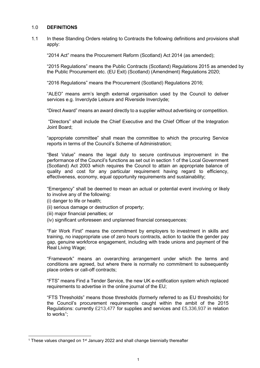#### <span id="page-4-0"></span>1.0 **DEFINITIONS**

1.1 In these Standing Orders relating to Contracts the following definitions and provisions shall apply:

"2014 Act" means the Procurement Reform (Scotland) Act 2014 (as amended);

"2015 Regulations" means the Public Contracts (Scotland) Regulations 2015 as amended by the Public Procurement etc. (EU Exit) (Scotland) (Amendment) Regulations 2020;

"2016 Regulations" means the Procurement (Scotland) Regulations 2016;

"ALEO" means arm's length external organisation used by the Council to deliver services e.g. Inverclyde Leisure and Riverside Inverclyde;

"Direct Award" means an award directly to a supplier without advertising or competition.

"Directors" shall include the Chief Executive and the Chief Officer of the Integration Joint Board;

"appropriate committee" shall mean the committee to which the procuring Service reports in terms of the Council's Scheme of Administration;

"Best Value" means the legal duty to secure continuous improvement in the performance of the Council's functions as set out in section 1 of the Local Government (Scotland) Act 2003 which requires the Council to attain an appropriate balance of quality and cost for any particular requirement having regard to efficiency, effectiveness, economy, equal opportunity requirements and sustainability;

"Emergency" shall be deemed to mean an actual or potential event involving or likely to involve any of the following:

- (i) danger to life or health;
- (ii) serious damage or destruction of property;
- (iii) major financial penalties; or
- (iv) significant unforeseen and unplanned financial consequences*;*

"Fair Work First" means the commitment by employers to investment in skills and training, no inappropriate use of zero hours contracts, action to tackle the gender pay gap, genuine workforce engagement, including with trade unions and payment of the Real Living Wage;

"Framework" means an overarching arrangement under which the terms and conditions are agreed, but where there is normally no commitment to subsequently place orders or call-off contracts;

"FTS" means Find a Tender Service, the new UK e-notification system which replaced requirements to advertise in the online journal of the EU;

"FTS Thresholds" means those thresholds (formerly referred to as EU thresholds) for the Council's procurement requirements caught within the ambit of the 2015 Regulations: currently £213,477 for supplies and services and £5,336,937 in relation to works<sup>[1](#page-4-1)</sup>;

<span id="page-4-1"></span><sup>&</sup>lt;sup>1</sup> These values changed on  $1<sup>st</sup>$  January 2022 and shall change biennially thereafter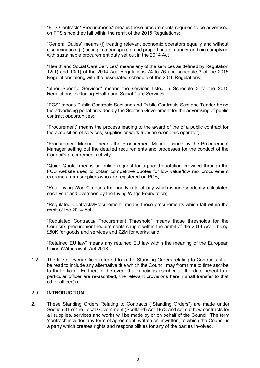"FTS Contracts/ Procurements" means those procurements required to be advertised on FTS since they fall within the remit of the 2015 Regulations;

"General Duties" means (i) treating relevant economic operators equally and without discrimination, (ii) acting in a transparent and proportionate manner and (iii) complying with sustainable procurement duty set out in the 2014 Act

"Health and Social Care Services" means any of the services as defined by Regulation 12(1) and 13(1) of the 2014 Act, Regulations 74 to 76 and schedule 3 of the 2015 Regulations along with the associated schedule of the 2016 Regulations;

"other Specific Services" means the services listed in Schedule 3 to the 2015 Regulations excluding Health and Social Care Services;

"PCS" means Public Contracts Scotland and Public Contracts Scotland Tender being the advertising portal provided by the Scottish Government for the advertising of public contract opportunities;

"Procurement" means the process leading to the award of the of a public contract for the acquisition of services, supplies or work from an economic operator;

"Procurement Manual" means the Procurement Manual issued by the Procurement Manager setting out the detailed requirements and processes for the conduct of the Council's procurement activity;

"Quick Quote" means an online request for a priced quotation provided through the PCS website used to obtain competitive quotes for low value/low risk procurement exercises from suppliers who are registered on PCS;

"Real Living Wage" means the hourly rate of pay which is independently calculated each year and overseen by the Living Wage Foundation;

"Regulated Contracts/Procurement" means those procurements which fall within the remit of the 2014 Act;

"Regulated Contracts/ Procurement Threshold" means those thresholds for the Council's procurement requirements caught within the ambit of the 2014 Act – being £50K for goods and services and £2M for works; and

"Retained EU law" means any retained EU law within the meaning of the European Union (Withdrawal) Act 2018.

1.2 The title of every officer referred to in the Standing Orders relating to Contracts shall be read to include any alternative title which the Council may from time to time ascribe to that officer. Further, in the event that functions ascribed at the date hereof to a particular officer are re-ascribed, the relevant provisions herein shall transfer to that other officer(s).

#### <span id="page-5-0"></span>2.0 **INTRODUCTION**

2.1 These Standing Orders Relating to Contracts ("Standing Orders") are made under Section 81 of the Local Government (Scotland) Act 1973 and set out how contracts for all supplies, services and works will be made by or on behalf of the Council. The term 'contract' includes any form of agreement, written or unwritten, to which the Council is a party which creates rights and responsibilities for any of the parties involved.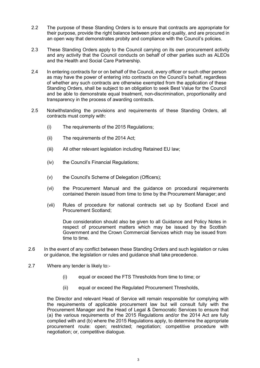- 2.2 The purpose of these Standing Orders is to ensure that contracts are appropriate for their purpose, provide the right balance between price and quality, and are procured in an open way that demonstrates probity and compliance with the Council's policies.
- 2.3 These Standing Orders apply to the Council carrying on its own procurement activity and any activity that the Council conducts on behalf of other parties such as ALEOs and the Health and Social Care Partnership.
- 2.4 In entering contracts for or on behalf of the Council, every officer or such other person as may have the power of entering into contracts on the Council's behalf, regardless of whether any such contracts are otherwise exempted from the application of these Standing Orders, shall be subject to an obligation to seek Best Value for the Council and be able to demonstrate equal treatment, non-discrimination, proportionality and transparency in the process of awarding contracts.
- 2.5 Notwithstanding the provisions and requirements of these Standing Orders, all contracts must comply with:
	- (i) The requirements of the 2015 Regulations;
	- (ii) The requirements of the 2014 Act;
	- (iii) All other relevant legislation including Retained EU law;
	- (iv) the Council's Financial Regulations;
	- (v) the Council's Scheme of Delegation (Officers);
	- (vi) the Procurement Manual and the guidance on procedural requirements contained therein issued from time to time by the Procurement Manager; and
	- (vii) Rules of procedure for national contracts set up by Scotland Excel and Procurement Scotland;

Due consideration should also be given to all Guidance and Policy Notes in respect of procurement matters which may be issued by the Scottish Government and the Crown Commercial Services which may be issued from time to time.

- 2.6 In the event of any conflict between these Standing Orders and such legislation or rules or guidance, the legislation or rules and guidance shall take precedence.
- 2.7 Where any tender is likely to:-
	- (i) equal or exceed the FTS Thresholds from time to time; or
	- (ii) equal or exceed the Regulated Procurement Thresholds,

the Director and relevant Head of Service will remain responsible for complying with the requirements of applicable procurement law but will consult fully with the Procurement Manager and the Head of Legal & Democratic Services to ensure that (a) the various requirements of the 2015 Regulations and/or the 2014 Act are fully complied with and (b) where the 2015 Regulations apply, to determine the appropriate procurement route: open; restricted; negotiation; competitive procedure with negotiation; or, competitive dialogue.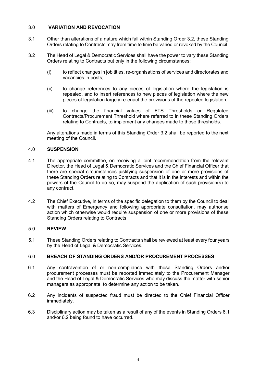#### <span id="page-7-0"></span>3.0 **VARIATION AND REVOCATION**

- 3.1 Other than alterations of a nature which fall within Standing Order 3.2, these Standing Orders relating to Contracts may from time to time be varied or revoked by the Council.
- 3.2 The Head of Legal & Democratic Services shall have the power to vary these Standing Orders relating to Contracts but only in the following circumstances:
	- (i) to reflect changes in job titles, re-organisations of services and directorates and vacancies in posts;
	- (ii) to change references to any pieces of legislation where the legislation is repealed, and to insert references to new pieces of legislation where the new pieces of legislation largely re-enact the provisions of the repealed legislation;
	- (iii) to change the financial values of FTS Thresholds or Regulated Contracts/Procurement Threshold where referred to in these Standing Orders relating to Contracts, to implement any changes made to those thresholds.

Any alterations made in terms of this Standing Order 3.2 shall be reported to the next meeting of the Council.

#### <span id="page-7-1"></span>4.0 **SUSPENSION**

- 4.1 The appropriate committee, on receiving a joint recommendation from the relevant Director, the Head of Legal & Democratic Services and the Chief Financial Officer that there are special circumstances justifying suspension of one or more provisions of these Standing Orders relating to Contracts and that it is in the interests and within the powers of the Council to do so, may suspend the application of such provision(s) to any contract.
- 4.2 The Chief Executive, in terms of the specific delegation to them by the Council to deal with matters of Emergency and following appropriate consultation, may authorise action which otherwise would require suspension of one or more provisions of these Standing Orders relating to Contracts.

#### <span id="page-7-2"></span>5.0 **REVIEW**

5.1 These Standing Orders relating to Contracts shall be reviewed at least every four years by the Head of Legal & Democratic Services.

#### <span id="page-7-3"></span>6.0 **BREACH OF STANDING ORDERS AND/OR PROCUREMENT PROCESSES**

- 6.1 Any contravention of or non-compliance with these Standing Orders and/or procurement processes must be reported immediately to the Procurement Manager and the Head of Legal & Democratic Services who may discuss the matter with senior managers as appropriate, to determine any action to be taken.
- 6.2 Any incidents of suspected fraud must be directed to the Chief Financial Officer immediately.
- 6.3 Disciplinary action may be taken as a result of any of the events in Standing Orders 6.1 and/or 6.2 being found to have occurred.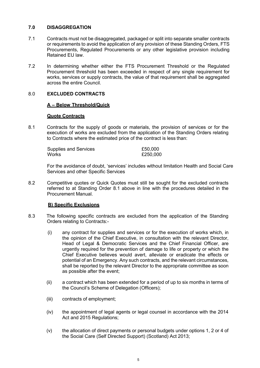#### <span id="page-8-0"></span>**7.0 DISAGGREGATION**

- 7.1 Contracts must not be disaggregated, packaged or split into separate smaller contracts or requirements to avoid the application of any provision of these Standing Orders, FTS Procurements, Regulated Procurements or any other legislative provision including Retained EU law.
- 7.2 In determining whether either the FTS Procurement Threshold or the Regulated Procurement threshold has been exceeded in respect of any single requirement for works, services or supply contracts, the value of that requirement shall be aggregated across the entire Council.

#### <span id="page-8-2"></span><span id="page-8-1"></span>8.0 **EXCLUDED CONTRACTS**

#### **A – Below Threshold/Quick**

#### **Quote Contracts**

8.1 Contracts for the supply of goods or materials, the provision of services or for the execution of works are excluded from the application of the Standing Orders relating to Contracts where the estimated price of the contract is less than:

| <b>Supplies and Services</b> | £50,000  |
|------------------------------|----------|
| Works                        | £250,000 |

For the avoidance of doubt, 'services' includes without limitation Health and Social Care Services and other Specific Services

8.2 Competitive quotes or Quick Quotes must still be sought for the excluded contracts referred to at Standing Order 8.1 above in line with the procedures detailed in the Procurement Manual.

#### **B) Specific Exclusions**

- <span id="page-8-3"></span>8.3 The following specific contracts are excluded from the application of the Standing Orders relating to Contracts:-
	- (i) any contract for supplies and services or for the execution of works which, in the opinion of the Chief Executive, in consultation with the relevant Director, Head of Legal & Democratic Services and the Chief Financial Officer, are urgently required for the prevention of damage to life or property or which the Chief Executive believes would avert, alleviate or eradicate the effects or potential of an Emergency. Any such contracts, and the relevant circumstances, shall be reported by the relevant Director to the appropriate committee as soon as possible after the event;
	- (ii) a contract which has been extended for a period of up to six months in terms of the Council's Scheme of Delegation (Officers);
	- (iii) contracts of employment;
	- (iv) the appointment of legal agents or legal counsel in accordance with the 2014 Act and 2015 Regulations;
	- (v) the allocation of direct payments or personal budgets under options 1, 2 or 4 of the Social Care (Self Directed Support) (Scotland) Act 2013;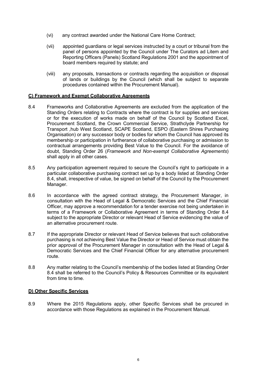- (vi) any contract awarded under the National Care Home Contract;
- (vii) appointed guardians or legal services instructed by a court or tribunal from the panel of persons appointed by the Council under The Curators ad Litem and Reporting Officers (Panels) Scotland Regulations 2001 and the appointment of board members required by statute; and
- (viii) any proposals, transactions or contracts regarding the acquisition or disposal of lands or buildings by the Council (which shall be subject to separate procedures contained within the Procurement Manual).

#### <span id="page-9-0"></span>**C) Framework and Exempt Collaborative Agreements**

- 8.4 Frameworks and Collaborative Agreements are excluded from the application of the Standing Orders relating to Contracts where the contract is for supplies and services or for the execution of works made on behalf of the Council by Scotland Excel, Procurement Scotland, the Crown Commercial Service, Strathclyde Partnership for Transport ,hub West Scotland, SCAPE Scotland, ESPO (Eastern Shires Purchasing Organisation) or any successor body or bodies for whom the Council has approved its membership or participation in furtherance of collaborative purchasing or admission to contractual arrangements providing Best Value to the Council. For the avoidance of doubt, Standing Order 26 (*Framework and Non-exempt Collaborative Agreements*) shall apply in all other cases.
- 8.5 Any participation agreement required to secure the Council's right to participate in a particular collaborative purchasing contract set up by a body listed at Standing Order 8.4, shall, irrespective of value, be signed on behalf of the Council by the Procurement Manager.
- 8.6 In accordance with the agreed contract strategy, the Procurement Manager, in consultation with the Head of Legal & Democratic Services and the Chief Financial Officer, may approve a recommendation for a tender exercise not being undertaken in terms of a Framework or Collaborative Agreement in terms of Standing Order 8.4 subject to the appropriate Director or relevant Head of Service evidencing the value of an alternative procurement route.
- 8.7 If the appropriate Director or relevant Head of Service believes that such collaborative purchasing is not achieving Best Value the Director or Head of Service must obtain the prior approval of the Procurement Manager in consultation with the Head of Legal & Democratic Services and the Chief Financial Officer for any alternative procurement route.
- 8.8 Any matter relating to the Council's membership of the bodies listed at Standing Order 8.4 shall be referred to the Council's Policy & Resources Committee or its equivalent from time to time.

#### <span id="page-9-1"></span>**D) Other Specific Services**

8.9 Where the 2015 Regulations apply, other Specific Services shall be procured in accordance with those Regulations as explained in the Procurement Manual.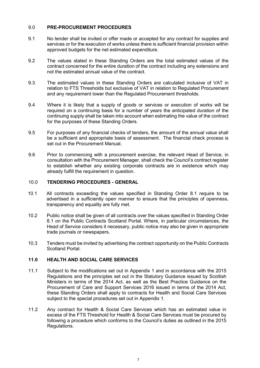#### <span id="page-10-0"></span>9.0 **PRE-PROCUREMENT PROCEDURES**

- 9.1 No tender shall be invited or offer made or accepted for any contract for supplies and services or for the execution of works unless there is sufficient financial provision within approved budgets for the net estimated expenditure.
- 9.2 The values stated in these Standing Orders are the total estimated values of the contract concerned for the entire duration of the contract including any extensions and not the estimated annual value of the contract.
- 9.3 The estimated values in these Standing Orders are calculated inclusive of VAT in relation to FTS Thresholds but exclusive of VAT in relation to Regulated Procurement and any requirement lower than the Regulated Procurement thresholds.
- 9.4 Where it is likely that a supply of goods or services or execution of works will be required on a continuing basis for a number of years the anticipated duration of the continuing supply shall be taken into account when estimating the value of the contract for the purposes of these Standing Orders.
- 9.5 For purposes of any financial checks of tenders, the amount of the annual value shall be a sufficient and appropriate basis of assessment. The financial check process is set out in the Procurement Manual.
- 9.6 Prior to commencing with a procurement exercise, the relevant Head of Service, in consultation with the Procurement Manager, shall check the Council's contract register to establish whether any existing corporate contracts are in existence which may already fulfill the requirement in question.

#### <span id="page-10-1"></span>10.0 **TENDERING PROCEDURES - GENERAL**

- 10.1 All contracts exceeding the values specified in Standing Order 8.1 require to be advertised in a sufficiently open manner to ensure that the principles of openness, transparency and equality are fully met.
- 10.2 Public notice shall be given of all contracts over the values specified in Standing Order 8.1 on the Public Contracts Scotland Portal. Where, in particular circumstances, the Head of Service considers it necessary, public notice may also be given in appropriate trade journals or newspapers.
- 10.3 Tenders must be invited by advertising the contract opportunity on the Public Contracts Scotland Portal.

#### <span id="page-10-2"></span>**11.0 HEALTH AND SOCIAL CARE SERVICES**

- 11.1 Subject to the modifications set out in Appendix 1 and in accordance with the 2015 Regulations and the principles set out in the Statutory Guidance issued by Scottish Ministers in terms of the 2014 Act, as well as the Best Practice Guidance on the Procurement of Care and Support Services 2016 issued in terms of the 2014 Act, these Standing Orders shall apply to contracts for Health and Social Care Services subject to the special procedures set out in Appendix 1.
- 11.2 Any contract for Health & Social Care Services which has an estimated value in excess of the FTS Threshold for Health & Social Care Services must be procured by following a procedure which conforms to the Council's duties as outlined in the 2015 Regulations.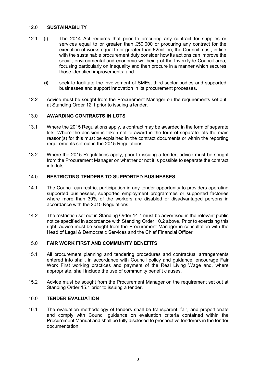#### <span id="page-11-0"></span>12.0 **SUSTAINABILITY**

- 12.1 (i) The 2014 Act requires that prior to procuring any contract for supplies or services equal to or greater than £50,000 or procuring any contract for the execution of works equal to or greater than £2million, the Council must, in line with the sustainable procurement duty consider how its actions can improve the social, environmental and economic wellbeing of the Inverclyde Council area, focusing particularly on inequality and then procure in a manner which secures those identified improvements; and
	- (ii) seek to facilitate the involvement of SMEs, third sector bodies and supported businesses and support innovation in its procurement processes.
- 12.2 Advice must be sought from the Procurement Manager on the requirements set out at Standing Order 12.1 prior to issuing a tender.

#### <span id="page-11-1"></span>13.0 **AWARDING CONTRACTS IN LOTS**

- 13.1 Where the 2015 Regulations apply, a contract may be awarded in the form of separate lots. Where the decision is taken not to award in the form of separate lots the main reason(s) for this must be explained in the contract documents or within the reporting requirements set out in the 2015 Regulations.
- 13.2 Where the 2015 Regulations apply, prior to issuing a tender, advice must be sought from the Procurement Manager on whether or not it is possible to separate the contract into lots.

#### <span id="page-11-2"></span>14.0 **RESTRICTING TENDERS TO SUPPORTED BUSINESSES**

- 14.1 The Council can restrict participation in any tender opportunity to providers operating supported businesses, supported employment programmes or supported factories where more than 30% of the workers are disabled or disadvantaged persons in accordance with the 2015 Regulations.
- 14.2 The restriction set out in Standing Order 14.1 must be advertised in the relevant public notice specified in accordance with Standing Order 10.2 above. Prior to exercising this right, advice must be sought from the Procurement Manager in consultation with the Head of Legal & Democratic Services and the Chief Financial Officer.

#### <span id="page-11-3"></span>15.0 **FAIR WORK FIRST AND COMMUNITY BENEFITS**

- 15.1 All procurement planning and tendering procedures and contractual arrangements entered into shall, in accordance with Council policy and guidance, encourage Fair Work First working practices and payment of the Real Living Wage and, where appropriate, shall include the use of community benefit clauses.
- 15.2 Advice must be sought from the Procurement Manager on the requirement set out at Standing Order 15.1 prior to issuing a tender.

#### <span id="page-11-4"></span>16.0 **TENDER EVALUATION**

16.1 The evaluation methodology of tenders shall be transparent, fair, and proportionate and comply with Council guidance on evaluation criteria contained within the Procurement Manual and shall be fully disclosed to prospective tenderers in the tender documentation.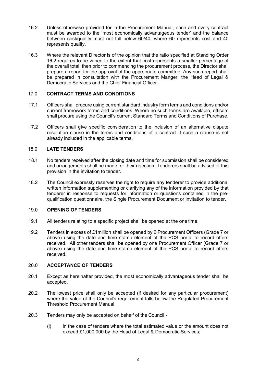- 16.2 Unless otherwise provided for in the Procurement Manual, each and every contract must be awarded to the 'most economically advantageous tender' and the balance between cost/quality must not fall below 60/40, where 60 represents cost and 40 represents quality.
- 16.3 Where the relevant Director is of the opinion that the ratio specified at Standing Order 16.2 requires to be varied to the extent that cost represents a smaller percentage of the overall total, then prior to commencing the procurement process, the Director shall prepare a report for the approval of the appropriate committee. Any such report shall be prepared in consultation with the Procurement Manger, the Head of Legal & Democratic Services and the Chief Financial Officer.

#### <span id="page-12-0"></span>17.0 **CONTRACT TERMS AND CONDITIONS**

- 17.1 Officers shall procure using current standard industry form terms and conditions and/or current framework terms and conditions. Where no such terms are available, officers shall procure using the Council's current Standard Terms and Conditions of Purchase.
- 17.2 Officers shall give specific consideration to the inclusion of an alternative dispute resolution clause in the terms and conditions of a contract if such a clause is not already included in the applicable terms.

#### <span id="page-12-1"></span>18.0 **LATE TENDERS**

- 18.1 No tenders received after the closing date and time for submission shall be considered and arrangements shall be made for their rejection. Tenderers shall be advised of this provision in the invitation to tender.
- 18.2 The Council expressly reserves the right to require any tenderer to provide additional written information supplementing or clarifying any of the information provided by that tenderer in response to requests for information or questions contained in the prequalification questionnaire, the Single Procurement Document or invitation to tender.

#### <span id="page-12-2"></span>19.0 **OPENING OF TENDERS**

- 19.1 All tenders relating to a specific project shall be opened at the one time.
- 19.2 Tenders in excess of £1million shall be opened by 2 Procurement Officers (Grade 7 or above) using the date and time stamp element of the PCS portal to record offers received. All other tenders shall be opened by one Procurement Officer (Grade 7 or above) using the date and time stamp element of the PCS portal to record offers received.

#### <span id="page-12-3"></span>20.0 **ACCEPTANCE OF TENDERS**

- 20.1 Except as hereinafter provided, the most economically advantageous tender shall be accepted.
- 20.2 The lowest price shall only be accepted (if desired for any particular procurement) where the value of the Council's requirement falls below the Regulated Procurement Threshold Procurement Manual.
- 20.3 Tenders may only be accepted on behalf of the Council:-
	- (i) in the case of tenders where the total estimated value or the amount does not exceed £1,000,000 by the Head of Legal & Democratic Services;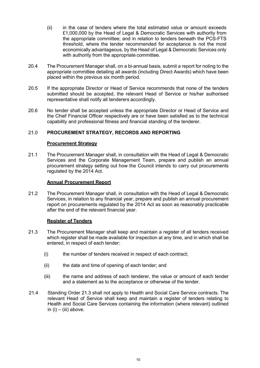- (ii) in the case of tenders where the total estimated value or amount exceeds £1,000,000 by the Head of Legal & Democratic Services with authority from the appropriate committee; and in relation to tenders beneath the PCS-FTS threshold, where the tender recommended for acceptance is not the most economically advantageous, by the Head of Legal & Democratic Services only with authority from the appropriate committee.
- 20.4 The Procurement Manager shall, on a bi-annual basis, submit a report for noting to the appropriate committee detailing all awards (including Direct Awards) which have been placed within the previous six month period.
- 20.5 If the appropriate Director or Head of Service recommends that none of the tenders submitted should be accepted, the relevant Head of Service or his/her authorised representative shall notify all tenderers accordingly.
- 20.6 No tender shall be accepted unless the appropriate Director or Head of Service and the Chief Financial Officer respectively are or have been satisfied as to the technical capability and professional fitness and financial standing of the tenderer.

#### <span id="page-13-1"></span><span id="page-13-0"></span>21.0 **PROCUREMENT STRATEGY, RECORDS AND REPORTING**

#### **Procurement Strategy**

21.1 The Procurement Manager shall, in consultation with the Head of Legal & Democratic Services and the Corporate Management Team, prepare and publish an annual procurement strategy setting out how the Council intends to carry out procurements regulated by the 2014 Act.

#### **Annual Procurement Report**

<span id="page-13-2"></span>21.2 The Procurement Manager shall, in consultation with the Head of Legal & Democratic Services, in relation to any financial year, prepare and publish an annual procurement report on procurements regulated by the 2014 Act as soon as reasonably practicable after the end of the relevant financial year.

#### **Register of Tenders**

- <span id="page-13-3"></span>21.3 The Procurement Manager shall keep and maintain a register of all tenders received which register shall be made available for inspection at any time, and in which shall be entered, in respect of each tender:
	- (i) the number of tenders received in respect of each contract;
	- (ii) the date and time of opening of each tender; and
	- (iii) the name and address of each tenderer, the value or amount of each tender and a statement as to the acceptance or otherwise of the tender.
- 21.4 Standing Order 21.3 shall not apply to Health and Social Care Service contracts. The relevant Head of Service shall keep and maintain a register of tenders relating to Health and Social Care Services containing the information (where relevant) outlined in  $(i) - (iii)$  above.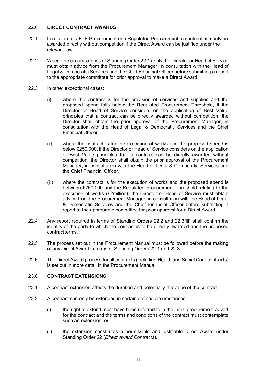#### <span id="page-14-0"></span>22.0 **DIRECT CONTRACT AWARDS**

- 22.1 In relation to a FTS Procurement or a Regulated Procurement, a contract can only be awarded directly without competition if the Direct Award can be justified under the relevant law.
- 22.2 Where the circumstances of Standing Order 22.1 apply the Director or Head of Service must obtain advice from the Procurement Manager, in consultation with the Head of Legal & Democratic Services and the Chief Financial Officer before submitting a report to the appropriate committee for prior approval to make a Direct Award.
- 22.3 In other exceptional cases:
	- (i) where the contract is for the provision of services and supplies and the proposed spend falls below the Regulated Procurement Threshold, if the Director or Head of Service considers on the application of Best Value principles that a contract can be directly awarded without competition, the Director shall obtain the prior approval of the Procurement Manager, in consultation with the Head of Legal & Democratic Services and the Chief Financial Officer.
	- (ii) where the contract is for the execution of works and the proposed spend is below £250,000, if the Director or Head of Service considers on the application of Best Value principles that a contract can be directly awarded without competition, the Director shall obtain the prior approval of the Procurement Manager, in consultation with the Head of Legal & Democratic Services and the Chief Financial Officer.
	- (iii) where the contract is for the execution of works and the proposed spend is between £250,000 and the Regulated Procurement Threshold relating to the execution of works (£2million), the Director or Head of Service must obtain advice from the Procurement Manager, in consultation with the Head of Legal & Democratic Services and the Chief Financial Officer before submitting a report to the appropriate committee for prior approval for a Direct Award.
- 22.4 Any report required in terms of Standing Orders 22.2 and 22.3(iii) shall confirm the identity of the party to which the contract is to be directly awarded and the proposed contract terms.
- 22.5 The process set out in the Procurement Manual must be followed before the making of any Direct Award in terms of Standing Orders 22.1 and 22.3.
- 22.6 The Direct Award process for all contracts (including Health and Social Care contracts) is set out in more detail in the Procurement Manual.

#### <span id="page-14-1"></span>23.0 **CONTRACT EXTENSIONS**

- 23.1 A contract extension affects the duration and potentially the value of the contract.
- 23.2 A contract can only be extended in certain defined circumstances:
	- (i) the right to extend must have been referred to in the initial procurement advert for the contract and the terms and conditions of the contract must contemplate such an extension; or
	- (ii) the extension constitutes a permissible and justifiable Direct Award under Standing Order 22 (*Direct Award Contracts*).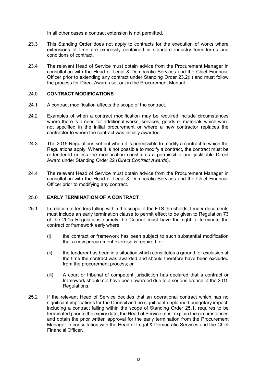In all other cases a contract extension is not permitted.

- 23.3 This Standing Order does not apply to contracts for the execution of works where extensions of time are expressly contained in standard industry form terms and conditions of contract.
- 23.4 The relevant Head of Service must obtain advice from the Procurement Manager in consultation with the Head of Legal & Democratic Services and the Chief Financial Officer prior to extending any contract under Standing Order 23.2(ii) and must follow the process for Direct Awards set out in the Procurement Manual.

#### <span id="page-15-0"></span>24.0 **CONTRACT MODIFICATIONS**

- 24.1 A contract modification affects the scope of the contract.
- 24.2 Examples of when a contract modification may be required include circumstances where there is a need for additional works, services, goods or materials which were not specified in the initial procurement or where a new contractor replaces the contractor to whom the contract was initially awarded.
- 24.3 The 2015 Regulations set out when it is permissible to modify a contract to which the Regulations apply. Where it is not possible to modify a contract, the contract must be re-tendered unless the modification constitutes a permissible and justifiable Direct Award under Standing Order 22 (*Direct Contract Awards*).
- 24.4 The relevant Head of Service must obtain advice from the Procurement Manager in consultation with the Head of Legal & Democratic Services and the Chief Financial Officer prior to modifying any contract.

#### <span id="page-15-1"></span>25.0 **EARLY TERMINATION OF A CONTRACT**

- 25.1 In relation to tenders falling within the scope of the FTS thresholds, tender documents must include an early termination clause to permit effect to be given to Regulation 73 of the 2015 Regulations namely the Council must have the right to terminate the contract or framework early where:
	- (i) the contract or framework has been subject to such substantial modification that a new procurement exercise is required; or
	- (ii) the tenderer has been in a situation which constitutes a ground for exclusion at the time the contract was awarded and should therefore have been excluded from the procurement process; or
	- (iii) A court or tribunal of competent jurisdiction has declared that a contract or framework should not have been awarded due to a serious breach of the 2015 Regulations.
- 25.2 If the relevant Head of Service decides that an operational contract which has no significant implications for the Council and no significant unplanned budgetary impact, including a contract falling within the scope of Standing Order 25.1, requires to be terminated prior to the expiry date, the Head of Service must explain the circumstances and obtain the prior written approval for the early termination from the Procurement Manager in consultation with the Head of Legal & Democratic Services and the Chief Financial Officer.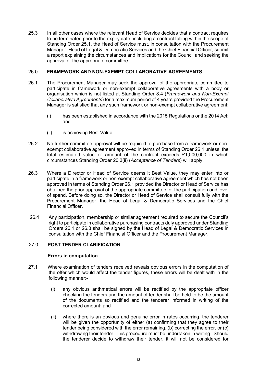25.3 In all other cases where the relevant Head of Service decides that a contract requires to be terminated prior to the expiry date, including a contract falling within the scope of Standing Order 25.1, the Head of Service must, in consultation with the Procurement Manager, Head of Legal & Democratic Services and the Chief Financial Officer, submit a report explaining the circumstances and implications for the Council and seeking the approval of the appropriate committee.

#### <span id="page-16-0"></span>26.0 **FRAMEWORK AND NON-EXEMPT COLLABORATIVE AGREEMENTS**

- 26.1 The Procurement Manager may seek the approval of the appropriate committee to participate in framework or non-exempt collaborative agreements with a body or organisation which is not listed at Standing Order 8.4 (*Framework and Non-Exempt Collaborative Agreements*) for a maximum period of 4 years provided the Procurement Manager is satisfied that any such framework or non-exempt collaborative agreement:
	- (i) has been established in accordance with the 2015 Regulations or the 2014 Act; and
	- (ii) is achieving Best Value.
- 26.2 No further committee approval will be required to purchase from a framework or nonexempt collaborative agreement approved in terms of Standing Order 26.1 unless the total estimated value or amount of the contract exceeds £1,000,000 in which circumstances Standing Order 20.3(ii) (*Acceptance of Tenders*) will apply.
- 26.3 Where a Director or Head of Service deems it Best Value, they may enter into or participate in a framework or non-exempt collaborative agreement which has not been approved in terms of Standing Order 26.1 provided the Director or Head of Service has obtained the prior approval of the appropriate committee for the participation and level of spend. Before doing so, the Director or Head of Service shall consult fully with the Procurement Manager, the Head of Legal & Democratic Services and the Chief Financial Officer.
- 26.4 Any participation, membership or similar agreement required to secure the Council's right to participate in collaborative purchasing contracts duly approved under Standing Orders 26.1 or 26.3 shall be signed by the Head of Legal & Democratic Services in consultation with the Chief Financial Officer and the Procurement Manager.

#### <span id="page-16-2"></span><span id="page-16-1"></span>27.0 **POST TENDER CLARIFICATION**

#### **Errors in computation**

- 27.1 Where examination of tenders received reveals obvious errors in the computation of the offer which would affect the tender figures, these errors will be dealt with in the following manner:-
	- (i) any obvious arithmetical errors will be rectified by the appropriate officer checking the tenders and the amount of tender shall be held to be the amount of the documents so rectified and the tenderer informed in writing of the corrected amount; and
	- (ii) where there is an obvious and genuine error in rates occurring, the tenderer will be given the opportunity of either (a) confirming that they agree to their tender being considered with the error remaining, (b) correcting the error, or (c) withdrawing their tender. This procedure must be undertaken in writing. Should the tenderer decide to withdraw their tender, it will not be considered for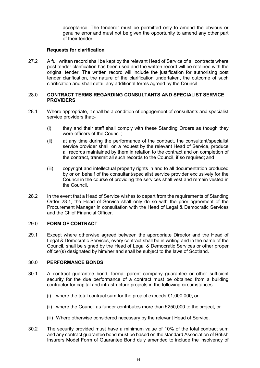acceptance. The tenderer must be permitted only to amend the obvious or genuine error and must not be given the opportunity to amend any other part of their tender.

#### **Requests for clarification**

<span id="page-17-0"></span>27.2 A full written record shall be kept by the relevant Head of Service of all contracts where post tender clarification has been used and the written record will be retained with the original tender. The written record will include the justification for authorising post tender clarification, the nature of the clarification undertaken, the outcome of such clarification and shall detail any additional terms agreed by the Council.

#### <span id="page-17-1"></span>28.0 **CONTRACT TERMS REGARDING CONSULTANTS AND SPECIALIST SERVICE PROVIDERS**

- 28.1 Where appropriate, it shall be a condition of engagement of consultants and specialist service providers that:-
	- (i) they and their staff shall comply with these Standing Orders as though they were officers of the Council;
	- (ii) at any time during the performance of the contract, the consultant/specialist service provider shall, on a request by the relevant Head of Service, produce all records maintained by them in relation to the contract and on completion of the contract, transmit all such records to the Council, if so required; and
	- (iii) copyright and intellectual property rights in and to all documentation produced by or on behalf of the consultant/specialist service provider exclusively for the Council in the course of providing the services shall vest and remain vested in the Council.
- 28.2 In the event that a Head of Service wishes to depart from the requirements of Standing Order 28.1, the Head of Service shall only do so with the prior agreement of the Procurement Manager in consultation with the Head of Legal & Democratic Services and the Chief Financial Officer.

#### <span id="page-17-2"></span>29.0 **FORM OF CONTRACT**

29.1 Except where otherwise agreed between the appropriate Director and the Head of Legal & Democratic Services, every contract shall be in writing and in the name of the Council, shall be signed by the Head of Legal & Democratic Services or other proper officer(s) designated by him/her and shall be subject to the laws of Scotland.

#### <span id="page-17-3"></span>30.0 **PERFORMANCE BONDS**

- 30.1 A contract guarantee bond, formal parent company guarantee or other sufficient security for the due performance of a contract must be obtained from a building contractor for capital and infrastructure projects in the following circumstances:
	- (i) where the total contract sum for the project exceeds £1,000,000; or
	- (ii) where the Council as funder contributes more than £250,000 to the project, or
	- (iii) Where otherwise considered necessary by the relevant Head of Service.
- 30.2 The security provided must have a minimum value of 10% of the total contract sum and any contract guarantee bond must be based on the standard Association of British Insurers Model Form of Guarantee Bond duly amended to include the insolvency of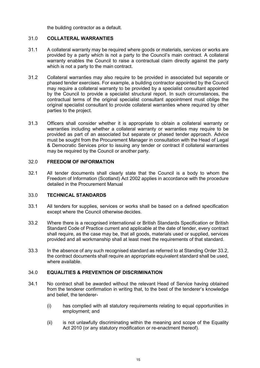the building contractor as a default.

#### <span id="page-18-0"></span>31.0 **COLLATERAL WARRANTIES**

- 31.1 A collateral warranty may be required where goods or materials, services or works are provided by a party which is not a party to the Council's main contract. A collateral warranty enables the Council to raise a contractual claim directly against the party which is not a party to the main contract.
- 31.2 Collateral warranties may also require to be provided in associated but separate or phased tender exercises. For example, a building contractor appointed by the Council may require a collateral warranty to be provided by a specialist consultant appointed by the Council to provide a specialist structural report. In such circumstances, the contractual terms of the original specialist consultant appointment must oblige the original specialist consultant to provide collateral warranties where required by other parties to the project.
- 31.3 Officers shall consider whether it is appropriate to obtain a collateral warranty or warranties including whether a collateral warranty or warranties may require to be provided as part of an associated but separate or phased tender approach. Advice must be sought from the Procurement Manager in consultation with the Head of Legal & Democratic Services prior to issuing any tender or contract if collateral warranties may be required by the Council or another party.

#### <span id="page-18-1"></span>32.0 **FREEDOM OF INFORMATION**

32.1 All tender documents shall clearly state that the Council is a body to whom the Freedom of Information (Scotland) Act 2002 applies in accordance with the procedure detailed in the Procurement Manual

#### <span id="page-18-2"></span>33.0 **TECHNICAL STANDARDS**

- 33.1 All tenders for supplies, services or works shall be based on a defined specification except where the Council otherwise decides.
- 33.2 Where there is a recognised international or British Standards Specification or British Standard Code of Practice current and applicable at the date of tender, every contract shall require, as the case may be, that all goods, materials used or supplied, services provided and all workmanship shall at least meet the requirements of that standard.
- 33.3 In the absence of any such recognised standard as referred to at Standing Order 33.2, the contract documents shall require an appropriate equivalent standard shall be used, where available.

#### <span id="page-18-3"></span>34.0 **EQUALITIES & PREVENTION OF DISCRIMINATION**

- 34.1 No contract shall be awarded without the relevant Head of Service having obtained from the tenderer confirmation in writing that, to the best of the tenderer's knowledge and belief, the tenderer-
	- (i) has complied with all statutory requirements relating to equal opportunities in employment; and
	- (ii) is not unlawfully discriminating within the meaning and scope of the Equality Act 2010 (or any statutory modification or re-enactment thereof).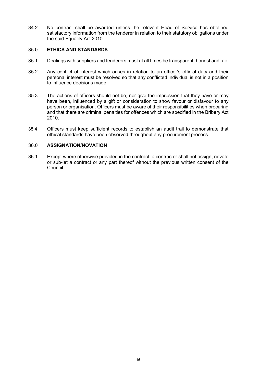34.2 No contract shall be awarded unless the relevant Head of Service has obtained satisfactory information from the tenderer in relation to their statutory obligations under the said Equality Act 2010.

#### <span id="page-19-0"></span>35.0 **ETHICS AND STANDARDS**

- 35.1 Dealings with suppliers and tenderers must at all times be transparent, honest and fair.
- 35.2 Any conflict of interest which arises in relation to an officer's official duty and their personal interest must be resolved so that any conflicted individual is not in a position to influence decisions made.
- 35.3 The actions of officers should not be, nor give the impression that they have or may have been, influenced by a gift or consideration to show favour or disfavour to any person or organisation. Officers must be aware of their responsibilities when procuring and that there are criminal penalties for offences which are specified in the Bribery Act 2010.
- 35.4 Officers must keep sufficient records to establish an audit trail to demonstrate that ethical standards have been observed throughout any procurement process.

#### <span id="page-19-1"></span>36.0 **ASSIGNATION/NOVATION**

36.1 Except where otherwise provided in the contract, a contractor shall not assign, novate or sub-let a contract or any part thereof without the previous written consent of the Council.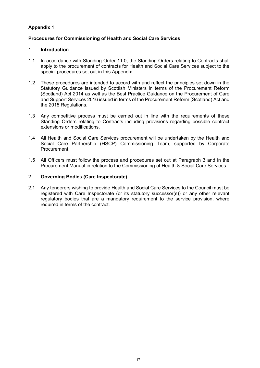#### <span id="page-20-0"></span>**Appendix 1**

#### <span id="page-20-1"></span>**Procedures for Commissioning of Health and Social Care Services**

#### 1. **Introduction**

- 1.1 In accordance with Standing Order 11.0, the Standing Orders relating to Contracts shall apply to the procurement of contracts for Health and Social Care Services subject to the special procedures set out in this Appendix.
- 1.2 These procedures are intended to accord with and reflect the principles set down in the Statutory Guidance issued by Scottish Ministers in terms of the Procurement Reform (Scotland) Act 2014 as well as the Best Practice Guidance on the Procurement of Care and Support Services 2016 issued in terms of the Procurement Reform (Scotland) Act and the 2015 Regulations.
- 1.3 Any competitive process must be carried out in line with the requirements of these Standing Orders relating to Contracts including provisions regarding possible contract extensions or modifications.
- 1.4 All Health and Social Care Services procurement will be undertaken by the Health and Social Care Partnership (HSCP) Commissioning Team, supported by Corporate Procurement.
- 1.5 All Officers must follow the process and procedures set out at Paragraph 3 and in the Procurement Manual in relation to the Commissioning of Health & Social Care Services.

#### 2. **Governing Bodies (Care Inspectorate)**

2.1 Any tenderers wishing to provide Health and Social Care Services to the Council must be registered with Care Inspectorate (or its statutory successor(s)) or any other relevant regulatory bodies that are a mandatory requirement to the service provision, where required in terms of the contract.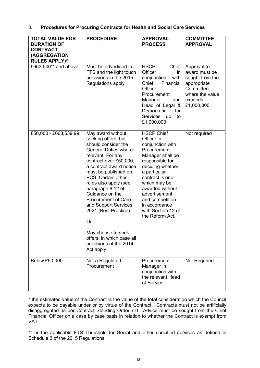| 3. |  |  |  |  |  | <b>Procedures for Procuring Contracts for Health and Social Care Services</b> |
|----|--|--|--|--|--|-------------------------------------------------------------------------------|
|----|--|--|--|--|--|-------------------------------------------------------------------------------|

| <b>TOTAL VALUE FOR</b><br><b>DURATION OF</b>            | <b>PROCEDURE</b>                                                                                                                                                                                                                                                                                                                                                                                                                                                      | <b>APPROVAL</b><br><b>PROCESS</b>                                                                                                                                                                                                                                                                 | <b>COMMITTEE</b><br><b>APPROVAL</b>                                                                                     |
|---------------------------------------------------------|-----------------------------------------------------------------------------------------------------------------------------------------------------------------------------------------------------------------------------------------------------------------------------------------------------------------------------------------------------------------------------------------------------------------------------------------------------------------------|---------------------------------------------------------------------------------------------------------------------------------------------------------------------------------------------------------------------------------------------------------------------------------------------------|-------------------------------------------------------------------------------------------------------------------------|
| <b>CONTRACT</b><br>(AGGREGATION<br><b>RULES APPLY)*</b> |                                                                                                                                                                                                                                                                                                                                                                                                                                                                       |                                                                                                                                                                                                                                                                                                   |                                                                                                                         |
| £663,540** and above                                    | Must be advertised in<br>FTS and the light touch<br>provisions in the 2015<br>Regulations apply                                                                                                                                                                                                                                                                                                                                                                       | <b>HSCP</b><br>Chief<br>Officer<br>in<br>conjunction<br>with<br>Chief<br>Financial<br>Officer,<br>Procurement<br>Manager<br>and<br>Head of Legal &<br>Democratic<br>for<br>Services<br>to<br>up<br>£1,000,000                                                                                     | Approval to<br>award must be<br>sought from the<br>appropriate<br>Committee<br>where the value<br>exceeds<br>£1,000,000 |
| £50,000 - £663,539.99                                   | May award without<br>seeking offers, but<br>should consider the<br><b>General Duties where</b><br>relevant. For any<br>contract over £50,000,<br>a contract award notice<br>must be published on<br>PCS. Certain other<br>rules also apply (see<br>paragraph 8.12 of<br>Guidance on the<br><b>Procurement of Care</b><br>and Support Services<br>2021 (Best Practice)<br>Or<br>May choose to seek<br>offers: in which case all<br>provisions of the 2014<br>Act apply | <b>HSCP Chief</b><br>Officer in<br>conjunction with<br>Procurement<br>Manager shall be<br>responsible for<br>deciding whether<br>a particular<br>contract is one<br>which may be<br>awarded without<br>advertisement<br>and competition<br>in accordance<br>with Section 12 of<br>the Reform Act. | Not required                                                                                                            |
| Below £50,000                                           | Not a Regulated<br>Procurement                                                                                                                                                                                                                                                                                                                                                                                                                                        | Procurement<br>Manager in<br>conjunction with<br>the relevant Head<br>of Service.                                                                                                                                                                                                                 | Not Required                                                                                                            |

\* the estimated value of the Contract is the value of the total consideration which the Council expects to be payable under or by virtue of the Contract. Contracts must not be artificially disaggregated as per Contract Standing Order 7.0. Advice must be sought from the Chief Financial Officer on a case by case basis in relation to whether the Contract is exempt from VAT.

\*\* or the applicable FTS Threshold for Social and other specified services as defined in Schedule 3 of the 2015 Regulations.